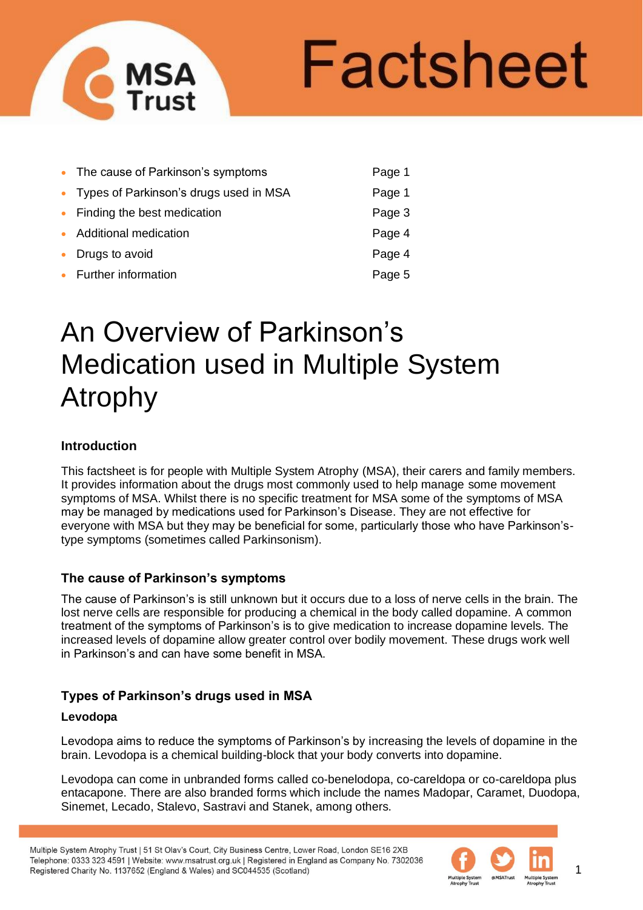# Factsheet

| • The cause of Parkinson's symptoms      | Page 1 |
|------------------------------------------|--------|
| • Types of Parkinson's drugs used in MSA | Page 1 |
| • Finding the best medication            | Page 3 |
| • Additional medication                  | Page 4 |
| • Drugs to avoid                         | Page 4 |
| • Further information                    | Page 5 |

# An Overview of Parkinson's Medication used in Multiple System Atrophy

# **Introduction**

This factsheet is for people with Multiple System Atrophy (MSA), their carers and family members. It provides information about the drugs most commonly used to help manage some movement symptoms of MSA. Whilst there is no specific treatment for MSA some of the symptoms of MSA may be managed by medications used for Parkinson's Disease. They are not effective for everyone with MSA but they may be beneficial for some, particularly those who have Parkinson'stype symptoms (sometimes called Parkinsonism).

# **The cause of Parkinson's symptoms**

The cause of Parkinson's is still unknown but it occurs due to a loss of nerve cells in the brain. The lost nerve cells are responsible for producing a chemical in the body called dopamine. A common treatment of the symptoms of Parkinson's is to give medication to increase dopamine levels. The increased levels of dopamine allow greater control over bodily movement. These drugs work well in Parkinson's and can have some benefit in MSA.

# **Types of Parkinson's drugs used in MSA**

# **Levodopa**

Levodopa aims to reduce the symptoms of Parkinson's by increasing the levels of dopamine in the brain. Levodopa is a chemical building-block that your body converts into dopamine.

Levodopa can come in unbranded forms called co-benelodopa, co-careldopa or co-careldopa plus entacapone. There are also branded forms which include the names Madopar, Caramet, Duodopa, Sinemet, Lecado, Stalevo, Sastravi and Stanek, among others.

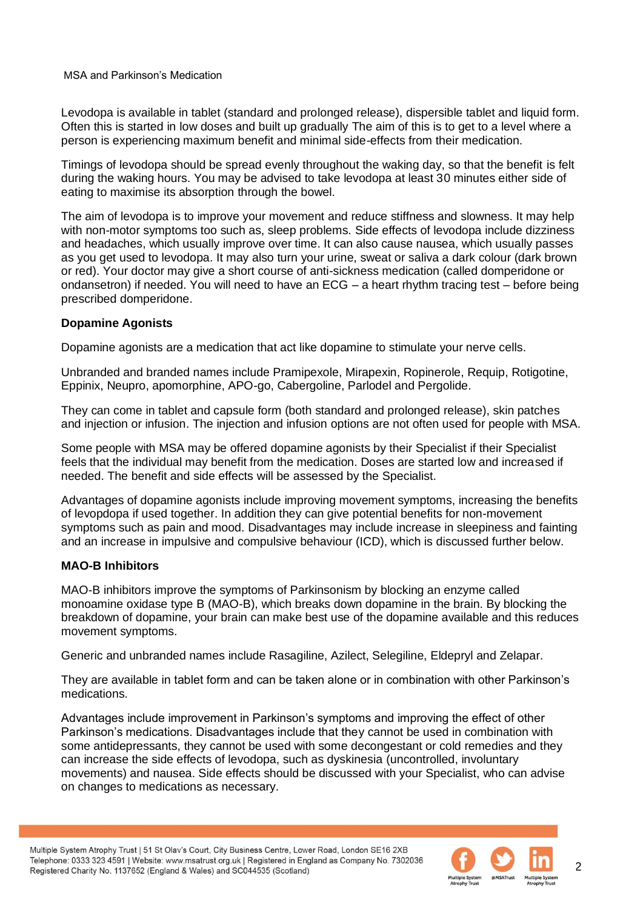Levodopa is available in tablet (standard and prolonged release), dispersible tablet and liquid form. Often this is started in low doses and built up gradually The aim of this is to get to a level where a person is experiencing maximum benefit and minimal side-effects from their medication.

Timings of levodopa should be spread evenly throughout the waking day, so that the benefit is felt during the waking hours. You may be advised to take levodopa at least 30 minutes either side of eating to maximise its absorption through the bowel.

The aim of levodopa is to improve your movement and reduce stiffness and slowness. It may help with non-motor symptoms too such as, sleep problems. Side effects of levodopa include dizziness and headaches, which usually improve over time. It can also cause nausea, which usually passes as you get used to levodopa. It may also turn your urine, sweat or saliva a dark colour (dark brown or red). Your doctor may give a short course of anti-sickness medication (called domperidone or ondansetron) if needed. You will need to have an ECG – a heart rhythm tracing test – before being prescribed domperidone.

#### **Dopamine Agonists**

Dopamine agonists are a medication that act like dopamine to stimulate your nerve cells.

Unbranded and branded names include Pramipexole, Mirapexin, Ropinerole, Requip, Rotigotine, Eppinix, Neupro, apomorphine, APO-go, Cabergoline, Parlodel and Pergolide.

They can come in tablet and capsule form (both standard and prolonged release), skin patches and injection or infusion. The injection and infusion options are not often used for people with MSA.

Some people with MSA may be offered dopamine agonists by their Specialist if their Specialist feels that the individual may benefit from the medication. Doses are started low and increased if needed. The benefit and side effects will be assessed by the Specialist.

Advantages of dopamine agonists include improving movement symptoms, increasing the benefits of levopdopa if used together. In addition they can give potential benefits for non-movement symptoms such as pain and mood. Disadvantages may include increase in sleepiness and fainting and an increase in impulsive and compulsive behaviour (ICD), which is discussed further below.

# **MAO-B Inhibitors**

MAO-B inhibitors improve the symptoms of Parkinsonism by blocking an enzyme called monoamine oxidase type B (MAO-B), which breaks down dopamine in the brain. By blocking the breakdown of dopamine, your brain can make best use of the dopamine available and this reduces movement symptoms.

Generic and unbranded names include Rasagiline, Azilect, Selegiline, Eldepryl and Zelapar.

They are available in tablet form and can be taken alone or in combination with other Parkinson's medications.

Advantages include improvement in Parkinson's symptoms and improving the effect of other Parkinson's medications. Disadvantages include that they cannot be used in combination with some antidepressants, they cannot be used with some decongestant or cold remedies and they can increase the side effects of levodopa, such as dyskinesia (uncontrolled, involuntary movements) and nausea. Side effects should be discussed with your Specialist, who can advise on changes to medications as necessary.

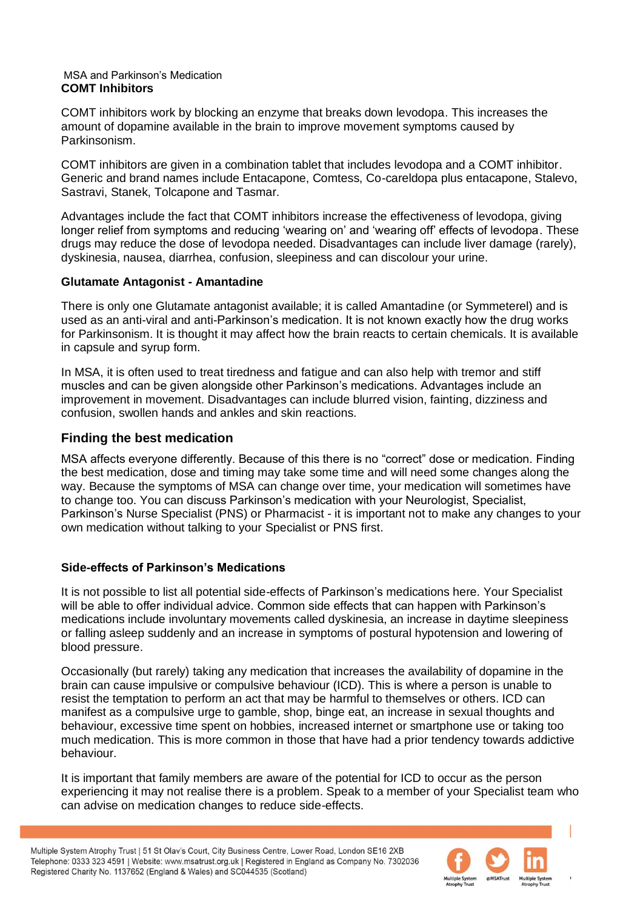#### MSA and Parkinson's Medication **COMT Inhibitors**

COMT inhibitors work by blocking an enzyme that breaks down levodopa. This increases the amount of dopamine available in the brain to improve movement symptoms caused by Parkinsonism.

COMT inhibitors are given in a combination tablet that includes levodopa and a COMT inhibitor. Generic and brand names include Entacapone, Comtess, Co-careldopa plus entacapone, Stalevo, Sastravi, Stanek, Tolcapone and Tasmar.

Advantages include the fact that COMT inhibitors increase the effectiveness of levodopa, giving longer relief from symptoms and reducing 'wearing on' and 'wearing off' effects of levodopa. These drugs may reduce the dose of levodopa needed. Disadvantages can include liver damage (rarely), dyskinesia, nausea, diarrhea, confusion, sleepiness and can discolour your urine.

#### **Glutamate Antagonist - Amantadine**

There is only one Glutamate antagonist available; it is called Amantadine (or Symmeterel) and is used as an anti-viral and anti-Parkinson's medication. It is not known exactly how the drug works for Parkinsonism. It is thought it may affect how the brain reacts to certain chemicals. It is available in capsule and syrup form.

In MSA, it is often used to treat tiredness and fatigue and can also help with tremor and stiff muscles and can be given alongside other Parkinson's medications. Advantages include an improvement in movement. Disadvantages can include blurred vision, fainting, dizziness and confusion, swollen hands and ankles and skin reactions.

# **Finding the best medication**

MSA affects everyone differently. Because of this there is no "correct" dose or medication. Finding the best medication, dose and timing may take some time and will need some changes along the way. Because the symptoms of MSA can change over time, your medication will sometimes have to change too. You can discuss Parkinson's medication with your Neurologist, Specialist, Parkinson's Nurse Specialist (PNS) or Pharmacist - it is important not to make any changes to your own medication without talking to your Specialist or PNS first.

# **Side-effects of Parkinson's Medications**

It is not possible to list all potential side-effects of Parkinson's medications here. Your Specialist will be able to offer individual advice. Common side effects that can happen with Parkinson's medications include involuntary movements called dyskinesia, an increase in daytime sleepiness or falling asleep suddenly and an increase in symptoms of postural hypotension and lowering of blood pressure.

Occasionally (but rarely) taking any medication that increases the availability of dopamine in the brain can cause impulsive or compulsive behaviour (ICD). This is where a person is unable to resist the temptation to perform an act that may be harmful to themselves or others. ICD can manifest as a compulsive urge to gamble, shop, binge eat, an increase in sexual thoughts and behaviour, excessive time spent on hobbies, increased internet or smartphone use or taking too much medication. This is more common in those that have had a prior tendency towards addictive behaviour.

It is important that family members are aware of the potential for ICD to occur as the person experiencing it may not realise there is a problem. Speak to a member of your Specialist team who can advise on medication changes to reduce side-effects.

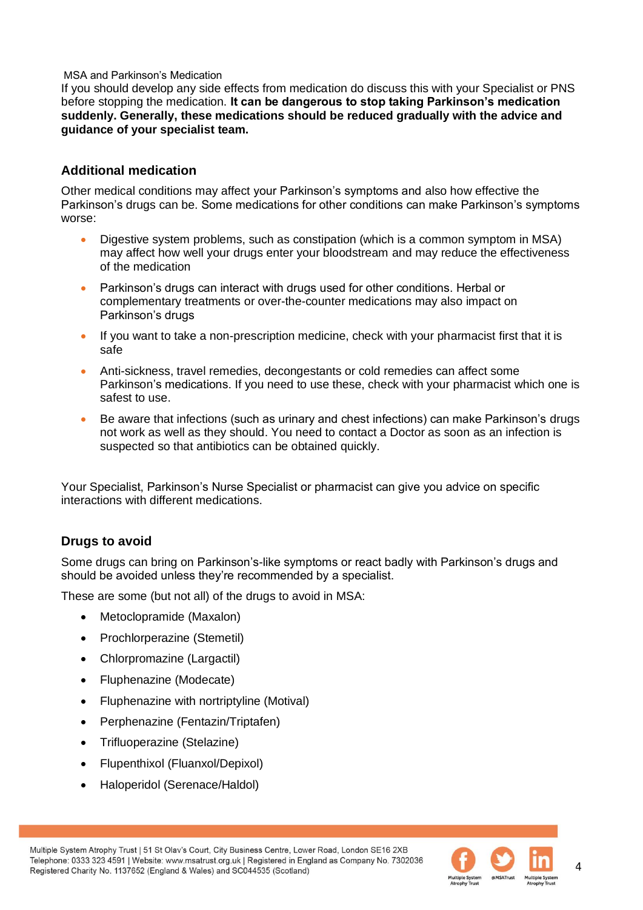If you should develop any side effects from medication do discuss this with your Specialist or PNS before stopping the medication. **It can be dangerous to stop taking Parkinson's medication suddenly. Generally, these medications should be reduced gradually with the advice and guidance of your specialist team.** 

# **Additional medication**

Other medical conditions may affect your Parkinson's symptoms and also how effective the Parkinson's drugs can be. Some medications for other conditions can make Parkinson's symptoms worse:

- Digestive system problems, such as constipation (which is a common symptom in MSA) may affect how well your drugs enter your bloodstream and may reduce the effectiveness of the medication
- Parkinson's drugs can interact with drugs used for other conditions. Herbal or complementary treatments or over-the-counter medications may also impact on Parkinson's drugs
- If you want to take a non-prescription medicine, check with your pharmacist first that it is safe
- Anti-sickness, travel remedies, decongestants or cold remedies can affect some Parkinson's medications. If you need to use these, check with your pharmacist which one is safest to use.
- Be aware that infections (such as urinary and chest infections) can make Parkinson's drugs not work as well as they should. You need to contact a Doctor as soon as an infection is suspected so that antibiotics can be obtained quickly.

Your Specialist, Parkinson's Nurse Specialist or pharmacist can give you advice on specific interactions with different medications.

# **Drugs to avoid**

Some drugs can bring on Parkinson's-like symptoms or react badly with Parkinson's drugs and should be avoided unless they're recommended by a specialist.

These are some (but not all) of the drugs to avoid in MSA:

- Metoclopramide (Maxalon)
- Prochlorperazine (Stemetil)
- Chlorpromazine (Largactil)
- Fluphenazine (Modecate)
- Fluphenazine with nortriptyline (Motival)
- Perphenazine (Fentazin/Triptafen)
- Trifluoperazine (Stelazine)
- Flupenthixol (Fluanxol/Depixol)
- Haloperidol (Serenace/Haldol)



4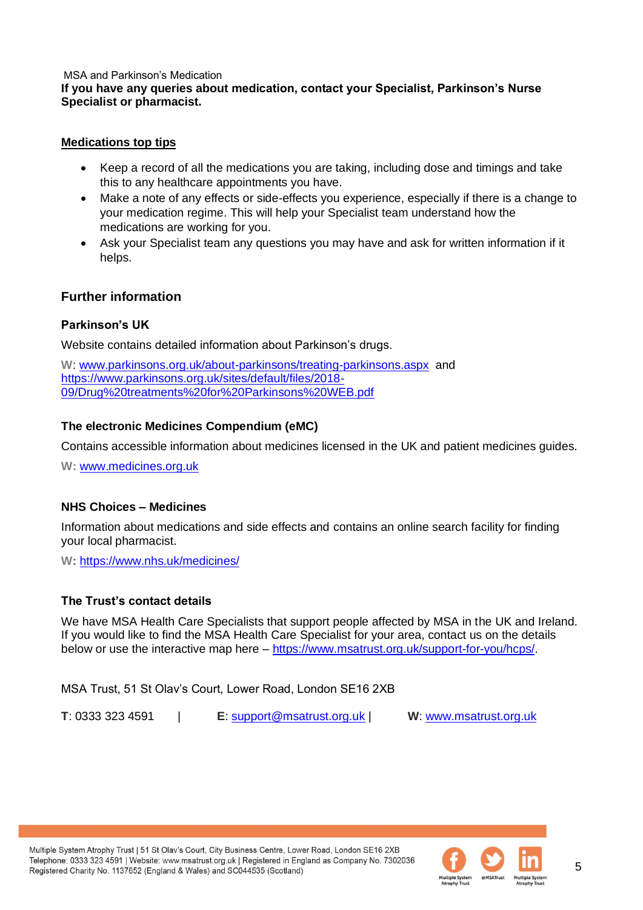#### **If you have any queries about medication, contact your Specialist, Parkinson's Nurse Specialist or pharmacist.**

#### **Medications top tips**

- Keep a record of all the medications you are taking, including dose and timings and take this to any healthcare appointments you have.
- Make a note of any effects or side-effects you experience, especially if there is a change to your medication regime. This will help your Specialist team understand how the medications are working for you.
- Ask your Specialist team any questions you may have and ask for written information if it helps.

# **Further information**

# **Parkinson's UK**

Website contains detailed information about Parkinson's drugs.

**W**: [www.parkinsons.org.uk/about-parkinsons/treating-parkinsons.aspx](http://www.parkinsons.org.uk/about-parkinsons/treating-parkinsons.aspx) and [https://www.parkinsons.org.uk/sites/default/files/2018-](https://www.parkinsons.org.uk/sites/default/files/2018-09/Drug%20treatments%20for%20Parkinsons%20WEB.pdf) [09/Drug%20treatments%20for%20Parkinsons%20WEB.pdf](https://www.parkinsons.org.uk/sites/default/files/2018-09/Drug%20treatments%20for%20Parkinsons%20WEB.pdf)

#### **The electronic Medicines Compendium (eMC)**

Contains accessible information about medicines licensed in the UK and patient medicines guides.

**W:** [www.medicines.org.uk](http://www.medicines.org.uk/)

# **NHS Choices – Medicines**

Information about medications and side effects and contains an online search facility for finding your local pharmacist.

**W:** <https://www.nhs.uk/medicines/>

# **The Trust's contact details**

We have MSA Health Care Specialists that support people affected by MSA in the UK and Ireland. If you would like to find the MSA Health Care Specialist for your area, contact us on the details below or use the interactive map here – [https://www.msatrust.org.uk/support-for-you/hcps/.](https://www.msatrust.org.uk/support-for-you/hcps/)

MSA Trust, 51 St Olav's Court, Lower Road, London SE16 2XB

**T**: 0333 323 4591 | **E**: [support@msatrust.org.uk](mailto:support@msatrust.org.uk) | **W**: [www.msatrust.org.uk](http://www.msatrust.org.uk/)